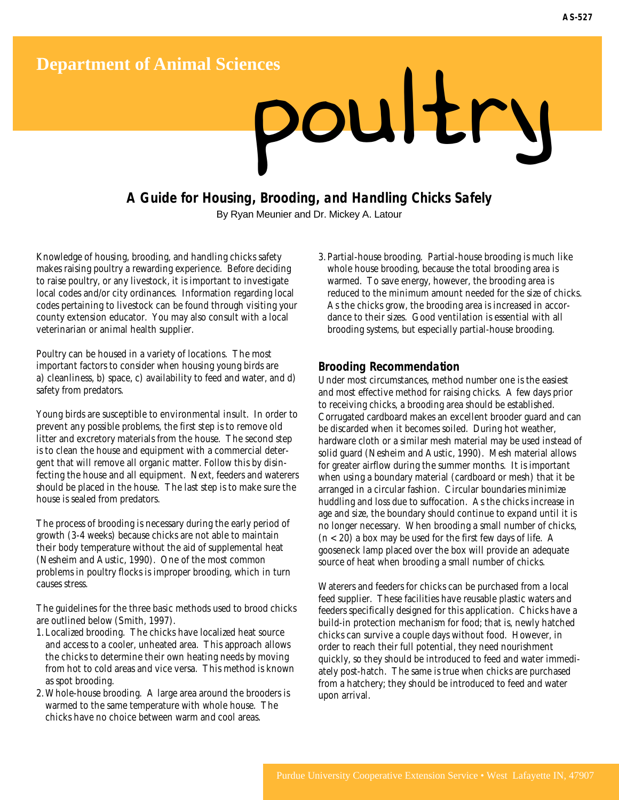# Department of Animal Sciences<br> **DOUIE**

# **A Guide for Housing, Brooding, and Handling Chicks Safely**

By Ryan Meunier and Dr. Mickey A. Latour

Knowledge of housing, brooding, and handling chicks safety makes raising poultry a rewarding experience. Before deciding to raise poultry, or any livestock, it is important to investigate local codes and/or city ordinances. Information regarding local codes pertaining to livestock can be found through visiting your county extension educator. You may also consult with a local veterinarian or animal health supplier.

Poultry can be housed in a variety of locations. The most important factors to consider when housing young birds are a) cleanliness, b) space, c) availability to feed and water, and d) safety from predators.

Young birds are susceptible to environmental insult. In order to prevent any possible problems, the first step is to remove old litter and excretory materials from the house. The second step is to clean the house and equipment with a commercial detergent that will remove all organic matter. Follow this by disinfecting the house and all equipment. Next, feeders and waterers should be placed in the house. The last step is to make sure the house is sealed from predators.

The process of brooding is necessary during the early period of growth (3-4 weeks) because chicks are not able to maintain their body temperature without the aid of supplemental heat (Nesheim and Austic, 1990). One of the most common problems in poultry flocks is improper brooding, which in turn causes stress.

The guidelines for the three basic methods used to brood chicks are outlined below (Smith, 1997).

- 1. Localized brooding. The chicks have localized heat source and access to a cooler, unheated area. This approach allows the chicks to determine their own heating needs by moving from hot to cold areas and vice versa. This method is known as spot brooding.
- 2. Whole-house brooding. A large area around the brooders is warmed to the same temperature with whole house. The chicks have no choice between warm and cool areas.

3. Partial-house brooding. Partial-house brooding is much like whole house brooding, because the total brooding area is warmed. To save energy, however, the brooding area is reduced to the minimum amount needed for the size of chicks. As the chicks grow, the brooding area is increased in accordance to their sizes. Good ventilation is essential with all brooding systems, but especially partial-house brooding.

## **Brooding Recommendation**

Under most circumstances, method number one is the easiest and most effective method for raising chicks. A few days prior to receiving chicks, a brooding area should be established. Corrugated cardboard makes an excellent brooder guard and can be discarded when it becomes soiled. During hot weather, hardware cloth or a similar mesh material may be used instead of solid guard (Nesheim and Austic, 1990). Mesh material allows for greater airflow during the summer months. It is important when using a boundary material (cardboard or mesh) that it be arranged in a circular fashion. Circular boundaries minimize huddling and loss due to suffocation. As the chicks increase in age and size, the boundary should continue to expand until it is no longer necessary. When brooding a small number of chicks,  $(n < 20)$  a box may be used for the first few days of life. A gooseneck lamp placed over the box will provide an adequate source of heat when brooding a small number of chicks.

Waterers and feeders for chicks can be purchased from a local feed supplier. These facilities have reusable plastic waters and feeders specifically designed for this application. Chicks have a build-in protection mechanism for food; that is, newly hatched chicks can survive a couple days without food. However, in order to reach their full potential, they need nourishment quickly, so they should be introduced to feed and water immediately post-hatch. The same is true when chicks are purchased from a hatchery; they should be introduced to feed and water upon arrival.